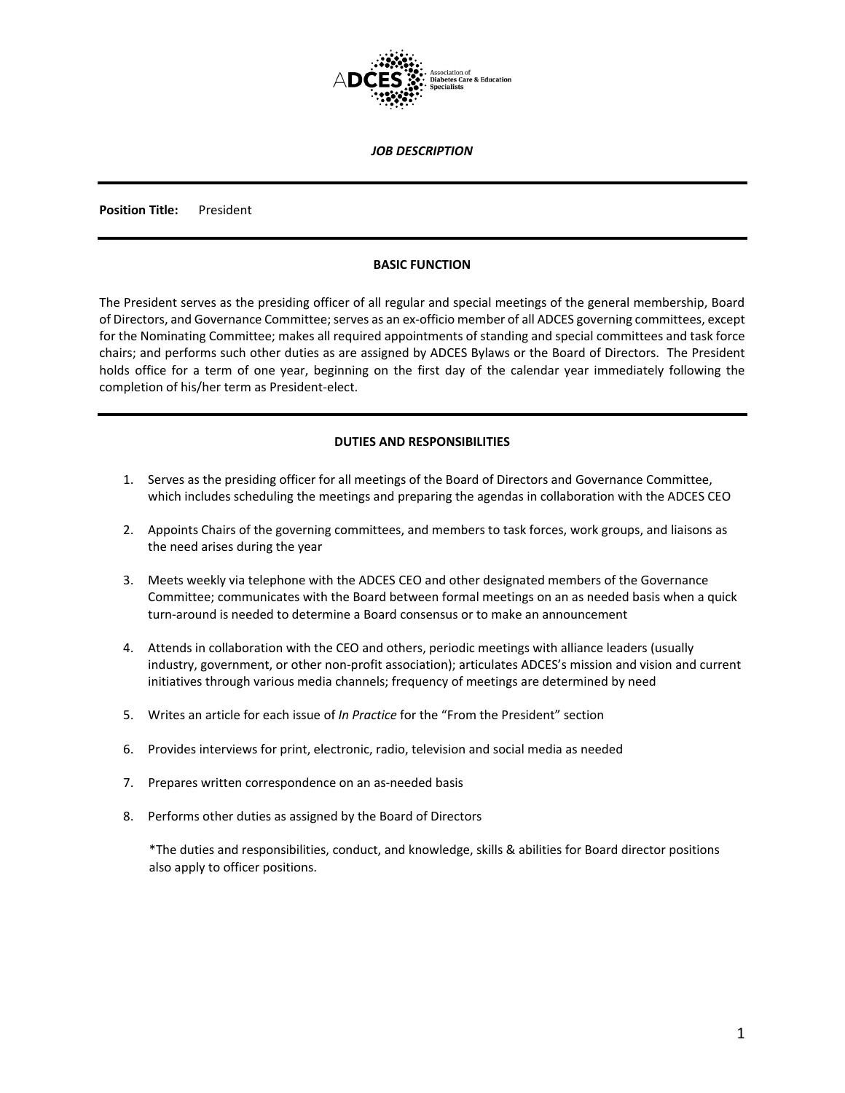

*JOB DESCRIPTION*

**Position Title:** President

## **BASIC FUNCTION**

The President serves as the presiding officer of all regular and special meetings of the general membership, Board of Directors, and Governance Committee; serves as an ex-officio member of all ADCES governing committees, except for the Nominating Committee; makes all required appointments of standing and special committees and task force chairs; and performs such other duties as are assigned by ADCES Bylaws or the Board of Directors. The President holds office for a term of one year, beginning on the first day of the calendar year immediately following the completion of his/her term as President-elect.

# **DUTIES AND RESPONSIBILITIES**

- 1. Serves as the presiding officer for all meetings of the Board of Directors and Governance Committee, which includes scheduling the meetings and preparing the agendas in collaboration with the ADCES CEO
- 2. Appoints Chairs of the governing committees, and members to task forces, work groups, and liaisons as the need arises during the year
- 3. Meets weekly via telephone with the ADCES CEO and other designated members of the Governance Committee; communicates with the Board between formal meetings on an as needed basis when a quick turn-around is needed to determine a Board consensus or to make an announcement
- 4. Attends in collaboration with the CEO and others, periodic meetings with alliance leaders (usually industry, government, or other non-profit association); articulates ADCES's mission and vision and current initiatives through various media channels; frequency of meetings are determined by need
- 5. Writes an article for each issue of *In Practice* for the "From the President" section
- 6. Provides interviews for print, electronic, radio, television and social media as needed
- 7. Prepares written correspondence on an as-needed basis
- 8. Performs other duties as assigned by the Board of Directors

\*The duties and responsibilities, conduct, and knowledge, skills & abilities for Board director positions also apply to officer positions.